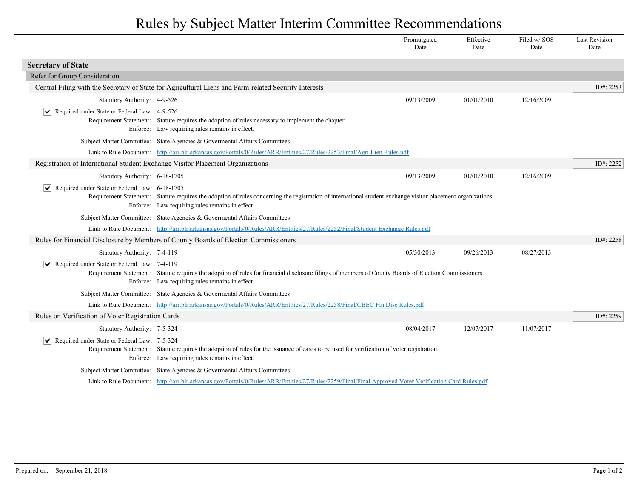## Rules by Subject Matter Interim Committee Recommendations

|                                                                                                                                                      |                                                                                                                                                                                                                 | Promulgated<br>Date | Effective<br>Date | Filed w/SOS<br>Date | <b>Last Revision</b><br>Date |  |
|------------------------------------------------------------------------------------------------------------------------------------------------------|-----------------------------------------------------------------------------------------------------------------------------------------------------------------------------------------------------------------|---------------------|-------------------|---------------------|------------------------------|--|
| <b>Secretary of State</b>                                                                                                                            |                                                                                                                                                                                                                 |                     |                   |                     |                              |  |
| Refer for Group Consideration                                                                                                                        |                                                                                                                                                                                                                 |                     |                   |                     |                              |  |
|                                                                                                                                                      | Central Filing with the Secretary of State for Agricultural Liens and Farm-related Security Interests                                                                                                           |                     |                   |                     | ID#: 2253                    |  |
| Statutory Authority: 4-9-526                                                                                                                         |                                                                                                                                                                                                                 | 09/13/2009          | 01/01/2010        | 12/16/2009          |                              |  |
| Required under State or Federal Law: 4-9-526<br>$\vert \bm{\mathsf{v}} \vert$                                                                        | Requirement Statement: Statute requires the adoption of rules necessary to implement the chapter.<br>Enforce: Law requiring rules remains in effect.                                                            |                     |                   |                     |                              |  |
|                                                                                                                                                      | Subject Matter Committee: State Agencies & Governental Affairs Committees                                                                                                                                       |                     |                   |                     |                              |  |
|                                                                                                                                                      | Link to Rule Document: http://arr.blr.arkansas.gov/Portals/0/Rules/ARR/Entities/27/Rules/2253/Final/Agri Lien Rules.pdf                                                                                         |                     |                   |                     |                              |  |
| Registration of International Student Exchange Visitor Placement Organizations                                                                       |                                                                                                                                                                                                                 |                     |                   |                     | ID#: 2252                    |  |
| Statutory Authority: 6-18-1705                                                                                                                       |                                                                                                                                                                                                                 | 09/13/2009          | 01/01/2010        | 12/16/2009          |                              |  |
| $\triangleright$ Required under State or Federal Law: 6-18-1705                                                                                      | Requirement Statement: Statute requires the adoption of rules concerning the registration of international student exchange visitor placement organizations.<br>Enforce: Law requiring rules remains in effect. |                     |                   |                     |                              |  |
|                                                                                                                                                      | Subject Matter Committee: State Agencies & Governental Affairs Committees                                                                                                                                       |                     |                   |                     |                              |  |
|                                                                                                                                                      | Link to Rule Document: http://arr.blr.arkansas.gov/Portals/0/Rules/ARR/Entities/27/Rules/2252/Final/Student Exchange Rules.pdf                                                                                  |                     |                   |                     |                              |  |
| Rules for Financial Disclosure by Members of County Boards of Election Commissioners                                                                 |                                                                                                                                                                                                                 |                     |                   |                     |                              |  |
| Statutory Authority: 7-4-119                                                                                                                         |                                                                                                                                                                                                                 | 05/30/2013          | 09/26/2013        | 08/27/2013          |                              |  |
| Required under State or Federal Law: 7-4-119<br>$ \vee $                                                                                             | Requirement Statement: Statute requires the adoption of rules for financial disclosure filings of members of County Boards of Election Commissioners.<br>Enforce: Law requiring rules remains in effect.        |                     |                   |                     |                              |  |
|                                                                                                                                                      | Subject Matter Committee: State Agencies & Governental Affairs Committees                                                                                                                                       |                     |                   |                     |                              |  |
|                                                                                                                                                      | Link to Rule Document: http://arr.blr.arkansas.gov/Portals/0/Rules/ARR/Entities/27/Rules/2258/Final/CBEC Fin Disc Rules.pdf                                                                                     |                     |                   |                     |                              |  |
| Rules on Verification of Voter Registration Cards                                                                                                    |                                                                                                                                                                                                                 |                     |                   |                     | ID#: 2259                    |  |
| Statutory Authority: 7-5-324                                                                                                                         |                                                                                                                                                                                                                 | 08/04/2017          | 12/07/2017        | 11/07/2017          |                              |  |
| Required under State or Federal Law: 7-5-324<br>$ \vee $                                                                                             | Requirement Statement: Statute requires the adoption of rules for the issuance of cards to be used for verification of voter registration.<br>Enforce: Law requiring rules remains in effect.                   |                     |                   |                     |                              |  |
|                                                                                                                                                      | Subject Matter Committee: State Agencies & Governental Affairs Committees                                                                                                                                       |                     |                   |                     |                              |  |
| Link to Rule Document: http://arr.blr.arkansas.gov/Portals/0/Rules/ARR/Entities/27/Rules/2259/Final/Final Approved Voter Verification Card Rules.pdf |                                                                                                                                                                                                                 |                     |                   |                     |                              |  |